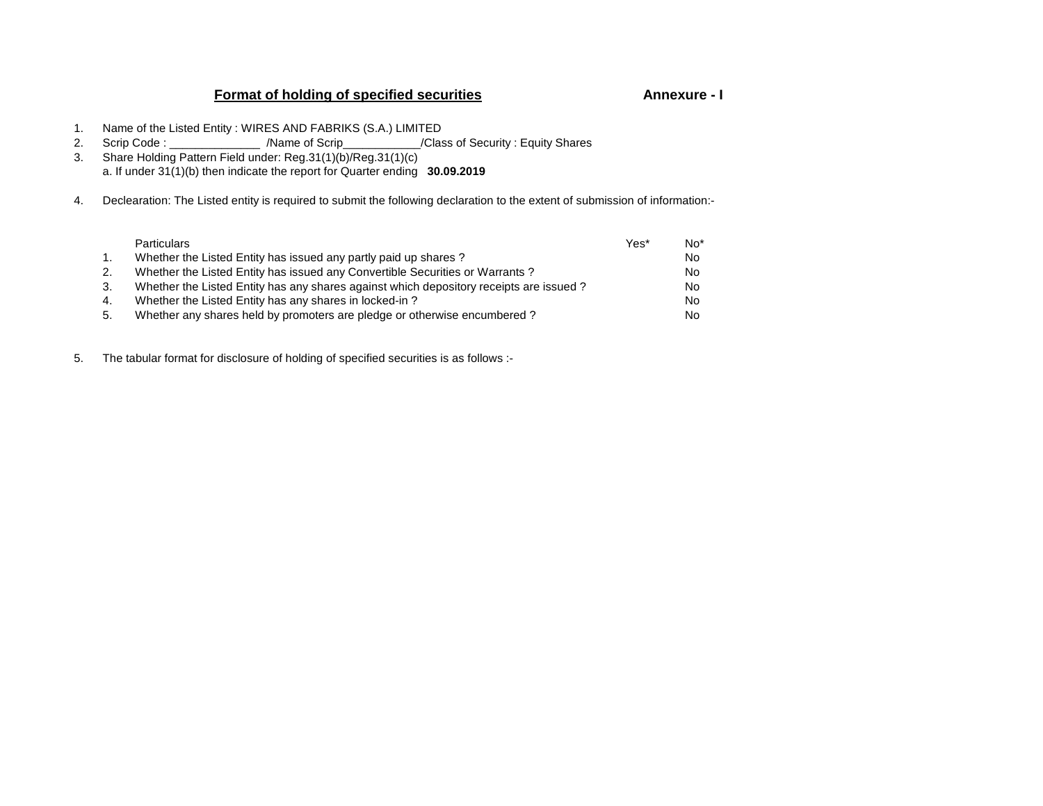# **Format of holding of specified securities**

### **Annexure - I**

- 1. Name of the Listed Entity : WIRES AND FABRIKS (S.A.) LIMITED
- 2. Scrip Code : \_\_\_\_\_\_\_\_\_\_\_\_\_\_ /Name of Scrip\_\_\_\_\_\_\_\_\_\_\_\_/Class of Security : Equity Shares 3. Share Holding Pattern Field under: Reg.31(1)(b)/Reg.31(1)(c)
- a. If under 31(1)(b) then indicate the report for Quarter ending **30.09.2019**
- 4. Declearation: The Listed entity is required to submit the following declaration to the extent of submission of information:-

|                | <b>Particulars</b>                                                                     | Yes* | $No*$ |
|----------------|----------------------------------------------------------------------------------------|------|-------|
| $\mathbf{1}$ . | Whether the Listed Entity has issued any partly paid up shares?                        |      | No.   |
| 2.             | Whether the Listed Entity has issued any Convertible Securities or Warrants?           |      | No.   |
| 3.             | Whether the Listed Entity has any shares against which depository receipts are issued? |      | No.   |
| 4.             | Whether the Listed Entity has any shares in locked-in?                                 |      | No.   |
| 5.             | Whether any shares held by promoters are pledge or otherwise encumbered?               |      | No.   |

5. The tabular format for disclosure of holding of specified securities is as follows :-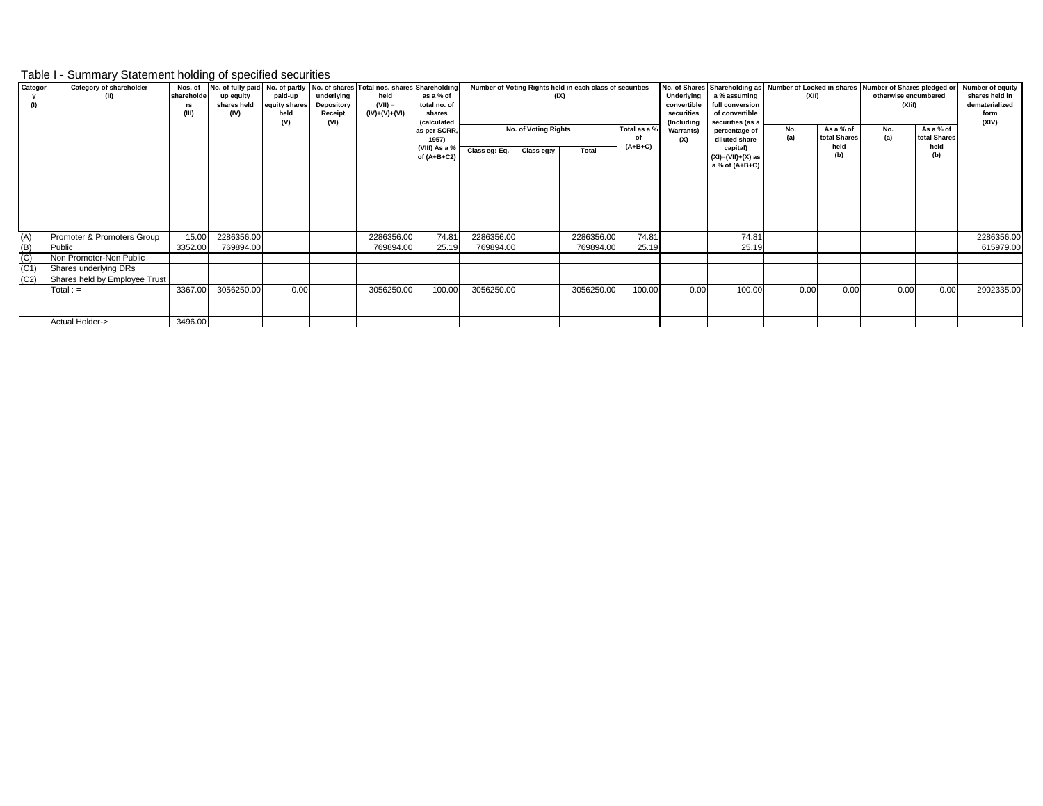## Table I - Summary Statement holding of specified securities

| Categor           | Category of shareholder       | Nos. of    |             |               |                   | No. of fully paid- No. of partly   No. of shares   Total nos. shares Shareholding |                    |               |                      | Number of Voting Rights held in each class of securities |                    |                  | No. of Shares Shareholding as Number of Locked in shares Number of Shares pledged or |            |              |                      |              | <b>Number of equity</b> |
|-------------------|-------------------------------|------------|-------------|---------------|-------------------|-----------------------------------------------------------------------------------|--------------------|---------------|----------------------|----------------------------------------------------------|--------------------|------------------|--------------------------------------------------------------------------------------|------------|--------------|----------------------|--------------|-------------------------|
|                   | (II)                          | shareholde | up equity   | paid-up       | underlying        | held                                                                              | as a % of          |               | (IX)                 |                                                          |                    | Underlying       | a % assuming                                                                         | (XII)      |              | otherwise encumbered |              | shares held in          |
| (1)               |                               | rs         | shares held | equity shares | <b>Depository</b> | $(VII) =$                                                                         | total no. of       |               |                      |                                                          |                    | convertible      | full conversion                                                                      |            |              | (XI)                 |              | dematerialized          |
|                   |                               | (III)      | (IV)        | held          | Receipt           | (IV)+(V)+(VI)                                                                     | shares             |               |                      |                                                          |                    | securities       | of convertible                                                                       |            |              |                      |              | form                    |
|                   |                               |            |             | (V)           | (VI)              |                                                                                   | <i>(calculated</i> |               | No. of Voting Rights |                                                          |                    | (Including       | securities (as a                                                                     |            | As a % of    |                      | As a % of    | (XIV)                   |
|                   |                               |            |             |               |                   |                                                                                   | as per SCRR,       |               |                      |                                                          | Total as a %<br>οf | <b>Warrants)</b> | percentage of                                                                        | No.<br>(a) | total Shares | No.<br>(a)           | total Shares |                         |
|                   |                               |            |             |               |                   |                                                                                   | 1957)              |               |                      |                                                          | $(A+B+C)$          | (X)              | diluted share                                                                        |            | held         |                      | held         |                         |
|                   |                               |            |             |               |                   |                                                                                   | (VIII) As a %      | Class eg: Eq. | Class eg:y           | Total                                                    |                    |                  | capital)                                                                             |            | (b)          |                      | (b)          |                         |
|                   |                               |            |             |               |                   |                                                                                   | of $(A+B+C2)$      |               |                      |                                                          |                    |                  | $(XI) = (VII) + (X)$ as<br>a % of (A+B+C)                                            |            |              |                      |              |                         |
|                   |                               |            |             |               |                   |                                                                                   |                    |               |                      |                                                          |                    |                  |                                                                                      |            |              |                      |              |                         |
|                   |                               |            |             |               |                   |                                                                                   |                    |               |                      |                                                          |                    |                  |                                                                                      |            |              |                      |              |                         |
|                   |                               |            |             |               |                   |                                                                                   |                    |               |                      |                                                          |                    |                  |                                                                                      |            |              |                      |              |                         |
|                   |                               |            |             |               |                   |                                                                                   |                    |               |                      |                                                          |                    |                  |                                                                                      |            |              |                      |              |                         |
|                   |                               |            |             |               |                   |                                                                                   |                    |               |                      |                                                          |                    |                  |                                                                                      |            |              |                      |              |                         |
|                   |                               |            |             |               |                   |                                                                                   |                    |               |                      |                                                          |                    |                  |                                                                                      |            |              |                      |              |                         |
|                   |                               |            |             |               |                   |                                                                                   |                    |               |                      |                                                          |                    |                  |                                                                                      |            |              |                      |              |                         |
| (A)               | Promoter & Promoters Group    | 15.00      | 2286356.00  |               |                   | 2286356.00                                                                        | 74.81              | 2286356.00    |                      | 2286356.00                                               | 74.81              |                  | 74.81                                                                                |            |              |                      |              | 2286356.00              |
| (B)               | Public                        | 3352.00    | 769894.00   |               |                   | 769894.00                                                                         | 25.19              | 769894.00     |                      | 769894.00                                                | 25.19              |                  | 25.19                                                                                |            |              |                      |              | 615979.00               |
| (C)               | Non Promoter-Non Public       |            |             |               |                   |                                                                                   |                    |               |                      |                                                          |                    |                  |                                                                                      |            |              |                      |              |                         |
| (C <sub>1</sub> ) |                               |            |             |               |                   |                                                                                   |                    |               |                      |                                                          |                    |                  |                                                                                      |            |              |                      |              |                         |
|                   | Shares underlying DRs         |            |             |               |                   |                                                                                   |                    |               |                      |                                                          |                    |                  |                                                                                      |            |              |                      |              |                         |
| (C2)              | Shares held by Employee Trust |            |             |               |                   |                                                                                   |                    |               |                      |                                                          |                    |                  |                                                                                      |            |              |                      |              |                         |
|                   | $Total :=$                    | 3367.00    | 3056250.00  | 0.00          |                   | 3056250.00                                                                        | 100.00             | 3056250.00    |                      | 3056250.00                                               | 100.00             | 0.00             | 100.00                                                                               | 0.00       | 0.00         | 0.00                 | 0.00         | 2902335.00              |
|                   |                               |            |             |               |                   |                                                                                   |                    |               |                      |                                                          |                    |                  |                                                                                      |            |              |                      |              |                         |
|                   |                               |            |             |               |                   |                                                                                   |                    |               |                      |                                                          |                    |                  |                                                                                      |            |              |                      |              |                         |
|                   | Actual Holder->               | 3496.00    |             |               |                   |                                                                                   |                    |               |                      |                                                          |                    |                  |                                                                                      |            |              |                      |              |                         |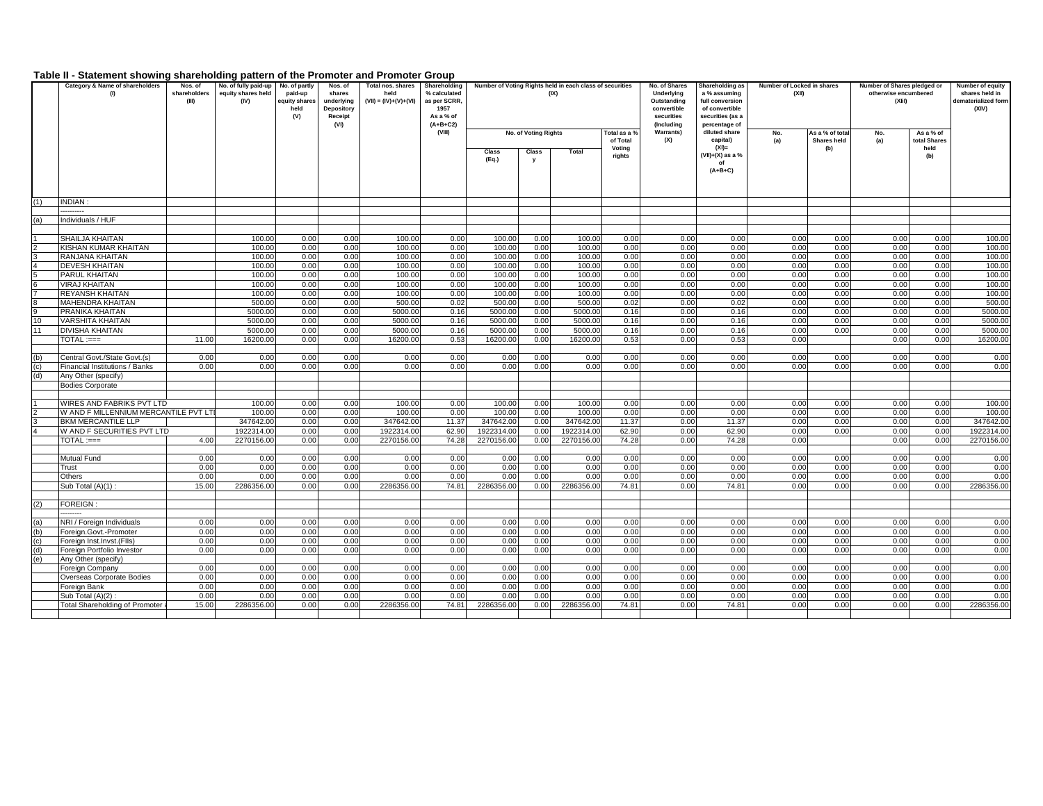#### **Table II - Statement showing shareholding pattern of the Promoter and Promoter Group**

|                | Category & Name of shareholders<br>(1)                    | Nos. of<br>shareholders | No. of fully paid-up<br>equity shares held | No. of partly<br>paid-up    | Nos. of<br>shares                   | Total nos. shares<br>held | Shareholding<br>% calculated                    |                    |                       | Number of Voting Rights held in each class of securities<br>(IX) |                    | No. of Shares<br>Underlying              | Shareholding as<br>a % assuming                       | Number of Locked in shares<br>(XII) |                    | Number of Shares pledged or<br>otherwise encumbered |                      | Number of equity<br>shares held in |
|----------------|-----------------------------------------------------------|-------------------------|--------------------------------------------|-----------------------------|-------------------------------------|---------------------------|-------------------------------------------------|--------------------|-----------------------|------------------------------------------------------------------|--------------------|------------------------------------------|-------------------------------------------------------|-------------------------------------|--------------------|-----------------------------------------------------|----------------------|------------------------------------|
|                |                                                           | (III)                   | (IV)                                       | quity shares<br>held<br>(V) | underlying<br>Depository<br>Receipt | $(VII) = (IV)+(V)+(VI)$   | as per SCRR.<br>1957<br>As a % of<br>$(A+B+C2)$ |                    |                       |                                                                  |                    | Outstanding<br>convertible<br>securities | full conversion<br>of convertible<br>securities (as a |                                     |                    | (XI)                                                |                      | dematerialized form<br>(XIV)       |
|                |                                                           |                         |                                            |                             | (VI)                                |                           | (VIII)                                          |                    | No. of Voting Rights  |                                                                  | Total as a %       | (Including<br><b>Warrants)</b>           | percentage of<br>diluted share                        | No.                                 | As a % of total    | No.                                                 | As a % of            |                                    |
|                |                                                           |                         |                                            |                             |                                     |                           |                                                 |                    |                       |                                                                  | of Total<br>Voting | (X)                                      | capital)<br>$(XI) =$                                  | (a)                                 | Shares held<br>(b) | (a)                                                 | total Shares<br>held |                                    |
|                |                                                           |                         |                                            |                             |                                     |                           |                                                 | Class<br>(Eq.)     | Class<br>$\mathbf{v}$ | Total                                                            | rights             |                                          | (VII)+(X) as a %<br>of                                |                                     |                    |                                                     | (b)                  |                                    |
|                |                                                           |                         |                                            |                             |                                     |                           |                                                 |                    |                       |                                                                  |                    |                                          | $(A+B+C)$                                             |                                     |                    |                                                     |                      |                                    |
|                |                                                           |                         |                                            |                             |                                     |                           |                                                 |                    |                       |                                                                  |                    |                                          |                                                       |                                     |                    |                                                     |                      |                                    |
| (1)            | <b>INDIAN:</b>                                            |                         |                                            |                             |                                     |                           |                                                 |                    |                       |                                                                  |                    |                                          |                                                       |                                     |                    |                                                     |                      |                                    |
|                |                                                           |                         |                                            |                             |                                     |                           |                                                 |                    |                       |                                                                  |                    |                                          |                                                       |                                     |                    |                                                     |                      |                                    |
| (a)            | Individuals / HUF                                         |                         |                                            |                             |                                     |                           |                                                 |                    |                       |                                                                  |                    |                                          |                                                       |                                     |                    |                                                     |                      |                                    |
|                |                                                           |                         |                                            |                             |                                     |                           |                                                 |                    |                       |                                                                  |                    |                                          |                                                       |                                     |                    |                                                     |                      |                                    |
| $\overline{2}$ | SHAILJA KHAITAN<br>KISHAN KUMAR KHAITAN                   |                         | 100.00<br>100.00                           | 0.00<br>0.00                | 0.00<br>0.00                        | 100.00<br>100.00          | 0.00<br>0.00                                    | 100.00<br>100.00   | 0.00<br>0.00          | 100.00<br>100.00                                                 | 0.00<br>0.00       | 0.00<br>0.00                             | 0.00<br>0.00                                          | 0.00<br>0.00                        | 0.00<br>0.00       | 0.00<br>0.00                                        | 0.00<br>0.00         | 100.00<br>100.00                   |
|                | RANJANA KHAITAN                                           |                         | 100.00                                     | 0.00                        | 0.00                                | 100.00                    | 0.00                                            | 100.00             | 0.00                  | 100.00                                                           | 0.00               | 0.00                                     | 0.00                                                  | 0.00                                | 0.00               | 0.00                                                | 0.00                 | 100.00                             |
| l4             | <b>DEVESH KHAITAN</b>                                     |                         | 100.00                                     | 0.00                        | 0.00                                | 100.00                    | 0.00                                            | 100.00             | 0.00                  | 100.00                                                           | 0.00               | 0.00                                     | 0.00                                                  | 0.00                                | 0.00               | 0.00                                                | 0.00                 | 100.00                             |
| 5              | PARUL KHAITAN                                             |                         | 100.00                                     | 0.00                        | 0.00                                | 100.00                    | 0.00                                            | 100.00             | 0.00                  | 100.00                                                           | 0.00               | 0.00                                     | 0.00                                                  | 0.00                                | 0.00               | 0.00                                                | 0.00                 | 100.00                             |
| l <sub>6</sub> | VIRAJ KHAITAN                                             |                         | 100.00                                     | 0.00                        | 0.00                                | 100.00                    | 0.00                                            | 100.00             | 0.00                  | 100.00                                                           | 0.00               | 0.00                                     | 0.00                                                  | 0.00                                | 0.00               | 0.00                                                | 0.00                 | 100.00                             |
|                | <b>REYANSH KHAITAN</b>                                    |                         | 100.00                                     | 0.00                        | 0.00                                | 100.00                    | 0.00                                            | 100.00             | 0.00                  | 100.00                                                           | 0.00               | 0.00                                     | 0.00                                                  | 0.00                                | 0.00               | 0.00                                                | 0.00                 | 100.00                             |
| l g<br>l9      | <b>MAHENDRA KHAITAN</b><br><b>PRANIKA KHAITAN</b>         |                         | 500.00<br>5000.00                          | 0.00<br>0.00                | 0.00<br>0.00                        | 500.00<br>5000.00         | 0.02<br>0.16                                    | 500.00<br>5000.00  | 0.00<br>0.00          | 500.00<br>5000.00                                                | 0.02<br>0.16       | 0.00<br>0.00                             | 0.02<br>0.16                                          | 0.00<br>0.00                        | 0.00<br>0.00       | 0.00<br>0.00                                        | 0.00<br>0.00         | 500.00<br>5000.00                  |
| 10             | <b>VARSHITA KHAITAN</b>                                   |                         | 5000.00                                    | 0.00                        | 0.00                                | 5000.00                   | 0.16                                            | 5000.00            | 0.00                  | 5000.00                                                          | 0.16               | 0.00                                     | 0.16                                                  | 0.00                                | 0.00               | 0.00                                                | 0.00                 | 5000.00                            |
| 11             | <b>DIVISHA KHAITAN</b>                                    |                         | 5000.0                                     | 0.00                        | 0.00                                | 5000.00                   | 0.16                                            | 5000.00            | 0.00                  | 5000.00                                                          | 0.16               | 0.00                                     | 0.16                                                  | 0.00                                | 0.00               | 0.00                                                | 0.00                 | 5000.0                             |
|                | $\mathsf{TOTAL} := =$                                     | 11.00                   | 16200.00                                   | 0.00                        | 0.00                                | 16200.00                  | 0.53                                            | 16200.00           | 0.00                  | 16200.00                                                         | 0.53               | 0.00                                     | 0.53                                                  | 0.00                                |                    | 0.00                                                | 0.00                 | 16200.00                           |
|                |                                                           |                         |                                            |                             |                                     |                           |                                                 |                    |                       |                                                                  |                    |                                          |                                                       |                                     |                    |                                                     |                      |                                    |
| (b)            | Central Govt./State Govt.(s)                              | 0.00                    | 0.00                                       | 0.00                        | 0.00                                | 0.00                      | 0.00                                            | 0.00               | 0.00                  | 0.00                                                             | 0.00               | 0.00                                     | 0.00                                                  | 0.00                                | 0.00               | 0.00                                                | 0.00                 | 0.00                               |
| (c)            | Financial Institutions / Banks                            | 0.00                    | 0.00                                       | 0.00                        | 0.00                                | 0.00                      | 0.00                                            | 0.00               | 0.00                  | 0.00                                                             | 0.00               | 0.00                                     | 0.00                                                  | 0.00                                | 0.00               | 0.00                                                | 0.00                 | 0.00                               |
| (d)            | Any Other (specify)                                       |                         |                                            |                             |                                     |                           |                                                 |                    |                       |                                                                  |                    |                                          |                                                       |                                     |                    |                                                     |                      |                                    |
|                | <b>Bodies Corporate</b>                                   |                         |                                            |                             |                                     |                           |                                                 |                    |                       |                                                                  |                    |                                          |                                                       |                                     |                    |                                                     |                      |                                    |
|                | WIRES AND FABRIKS PVT LTD                                 |                         | 100.00                                     | 0.00                        | 0.00                                | 100.00                    | 0.00                                            | 100.00             | 0.00                  | 100.00                                                           | 0.00               | 0.00                                     | 0.00                                                  | 0.00                                | 0.00               | 0.00                                                | 0.00                 | 100.00                             |
| $\overline{2}$ | W AND F MILLENNIUM MERCANTILE PVT LT                      |                         | 100.00                                     | 0.00                        | 0.00                                | 100.00                    | 0.00                                            | 100.00             | 0.00                  | 100.00                                                           | 0.00               | 0.00                                     | 0.00                                                  | 0.00                                | 0.00               | 0.00                                                | 0.00                 | 100.00                             |
| l3             | BKM MERCANTILE LLP                                        |                         | 347642.00                                  | 0.00                        | 0.00                                | 347642.00                 | 11.37                                           | 347642.00          | 0.00                  | 347642.00                                                        | 11.37              | 0.00                                     | 11.37                                                 | 0.00                                | 0.00               | 0.00                                                | 0.00                 | 347642.00                          |
|                | W AND F SECURITIES PVT LTD                                |                         | 1922314.00                                 | 0.00                        | 0.00                                | 1922314.00                | 62.90                                           | 1922314.00         | 0.00                  | 1922314.00                                                       | 62.90              | 0.00                                     | 62.90                                                 | 0.00                                | 0.00               | 0.00                                                | 0.00                 | 1922314.00                         |
|                | $\mathsf{TOTAL} := =$                                     | 4.00                    | 2270156.00                                 | 0.00                        | 0.00                                | 2270156.00                | 74.28                                           | 2270156.00         | 0.00                  | 2270156.00                                                       | 74.28              | 0.00                                     | 74.28                                                 | 0.00                                |                    | 0.00                                                | 0.00                 | 2270156.00                         |
|                |                                                           |                         |                                            |                             | 0.00                                |                           |                                                 |                    |                       |                                                                  |                    |                                          | 0.00                                                  |                                     |                    | 0.00                                                |                      |                                    |
|                | Mutual Fund<br>Trust                                      | 0.00<br>0.00            | 0.00<br>0.00                               | 0.00<br>0.00                | 0.00                                | 0.00<br>0.00              | 0.00<br>0.00                                    | 0.00<br>0.00       | 0.00<br>0.00          | 0.00<br>0.00                                                     | 0.00<br>0.00       | 0.00<br>0.00                             | 0.00                                                  | 0.00<br>0.00                        | 0.00<br>0.00       | 0.00                                                | 0.00<br>0.00         | 0.00<br>0.00                       |
|                | Others                                                    | 0.00                    | 0.00                                       | 0.00                        | 0.00                                | 0.00                      | 0.00                                            | 0.00               | 0.00                  | 0.00                                                             | 0.00               | 0.00                                     | 0.00                                                  | 0.00                                | 0.00               | 0.00                                                | 0.00                 | 0.00                               |
|                | Sub Total (A)(1) :                                        | 15.00                   | 2286356.00                                 | 0.00                        | 0.00                                | 2286356.00                | 74.8                                            | 2286356.00         | 0.00                  | 2286356.00                                                       | 74.81              | 0.00                                     | 74.81                                                 | 0.00                                | 0.00               | 0.00                                                | 0.00                 | 2286356.00                         |
|                |                                                           |                         |                                            |                             |                                     |                           |                                                 |                    |                       |                                                                  |                    |                                          |                                                       |                                     |                    |                                                     |                      |                                    |
| (2)            | <b>FOREIGN:</b>                                           |                         |                                            |                             |                                     |                           |                                                 |                    |                       |                                                                  |                    |                                          |                                                       |                                     |                    |                                                     |                      |                                    |
|                | .                                                         |                         |                                            |                             |                                     |                           |                                                 |                    |                       |                                                                  |                    |                                          |                                                       |                                     |                    |                                                     |                      |                                    |
| (a)<br>(b)     | NRI / Foreign Individuals                                 | 0.00<br>0.00            | 0.00<br>0.00                               | 0.00<br>0.00                | 0.00<br>0.00                        | 0.00<br>0.00              | 0.00<br>0.00                                    | 0.00<br>0.00       | 0.00<br>0.00          | 0.00<br>0.00                                                     | 0.00<br>0.00       | 0.00<br>0.00                             | 0.00<br>0.00                                          | 0.00<br>0.00                        | 0.00<br>0.00       | 0.00<br>0.00                                        | 0.00<br>0.00         | 0.00<br>0.00                       |
| (c)            | Foreign.Govt.-Promoter<br>Foreign Inst.Invst.(FIIs)       | 0.00                    | 0.00                                       | 0.00                        | 0.00                                | 0.00                      | 0.00                                            | 0.00               | 0.00                  | 0.00                                                             | 0.00               | 0.00                                     | 0.00                                                  | 0.00                                | 0.00               | 0.00                                                | 0.00                 | 0.00                               |
| (d)            | Foreign Portfolio Investor                                | 0.00                    | 0.00                                       | 0.00                        | 0.00                                | 0.00                      | 0.00                                            | 0.00               | 0.00                  | 0.00                                                             | 0.00               | 0.00                                     | 0.00                                                  | 0.00                                | 0.00               | 0.00                                                | 0.00                 | 0.00                               |
| (e)            | Any Other (specify)                                       |                         |                                            |                             |                                     |                           |                                                 |                    |                       |                                                                  |                    |                                          |                                                       |                                     |                    |                                                     |                      |                                    |
|                | Foreign Company                                           | 0.00                    | 0.00                                       | 0.00                        | 0.00                                | 0.00                      | 0.00                                            | 0.00               | 0.00                  | 0.00                                                             | 0.00               | 0.00                                     | 0.00                                                  | 0.00                                | 0.00               | 0.00                                                | 0.00                 | 0.00                               |
|                | Overseas Corporate Bodies                                 | 0.00                    | 0.00                                       | 0.00                        | 0.00                                | 0.00                      | 0.00                                            | 0.00               | 0.00                  | 0.00                                                             | 0.00               | 0.00                                     | 0.00                                                  | 0.00                                | 0.00               | 0.00                                                | 0.00                 | 0.00                               |
|                | Foreign Bank                                              | 0.00                    | 0.00                                       | 0.00                        | 0.00                                | 0.00                      | 0.00                                            | 0.00               | 0.00                  | 0.00                                                             | 0.00               | 0.00                                     | 0.00                                                  | 0.00                                | 0.00               | 0.00                                                | 0.00                 | 0.00                               |
|                | Sub Total (A)(2)<br><b>Total Shareholding of Promoter</b> | 0.00<br>15.00           | 0.00<br>2286356.00                         | 0.00<br>0.00                | 0.00<br>0.00                        | 0.00<br>2286356.00        | 0.00<br>74.81                                   | 0.00<br>2286356.00 | 0.00<br>0.00          | 0.00<br>2286356.00                                               | 0.00<br>74.81      | 0.00<br>0.00                             | 0.00<br>74.81                                         | 0.00<br>0.00                        | 0.00<br>0.00       | 0.00<br>0.00                                        | 0.00<br>0.00         | 0.00<br>2286356.00                 |
|                |                                                           |                         |                                            |                             |                                     |                           |                                                 |                    |                       |                                                                  |                    |                                          |                                                       |                                     |                    |                                                     |                      |                                    |
|                |                                                           |                         |                                            |                             |                                     |                           |                                                 |                    |                       |                                                                  |                    |                                          |                                                       |                                     |                    |                                                     |                      |                                    |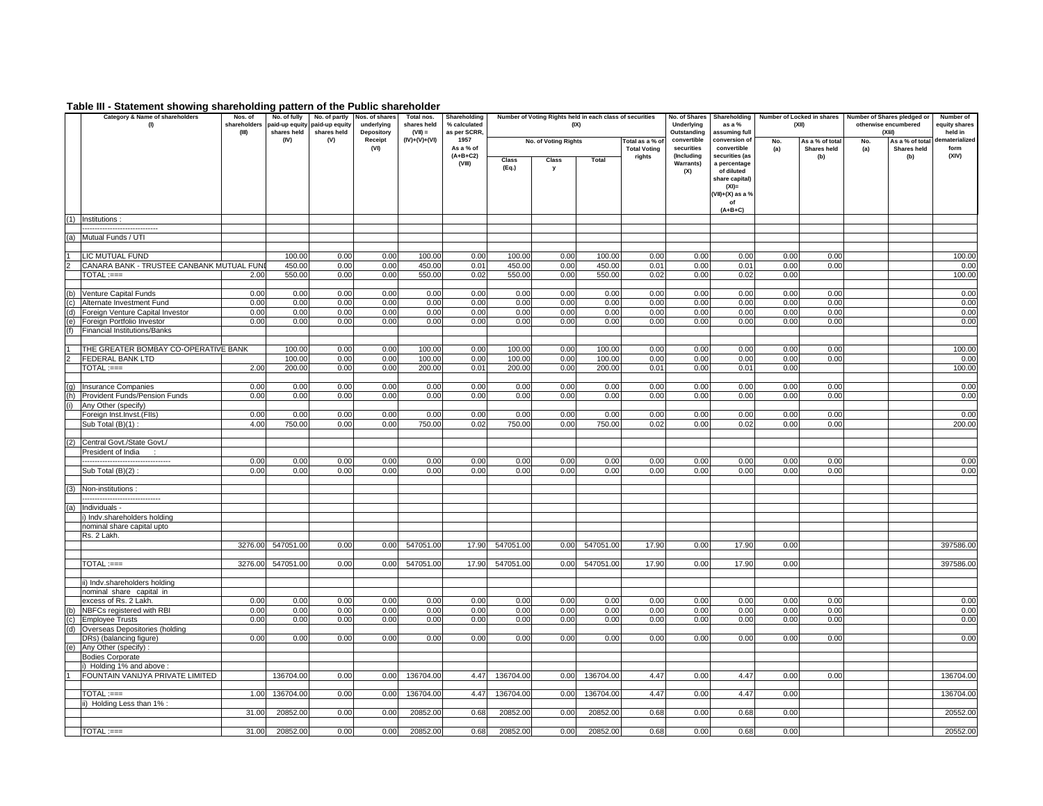#### **Table III - Statement showing shareholding pattern of the Public shareholder**

|            | Category & Name of shareholders<br>(1)                        | Nos. of<br>shareholders<br>(III) | No. of fully<br>shares held | No. of partly<br>paid-up equity paid-up equity<br>shares held | Nos. of shares<br>underlying<br>Depository | Total nos.<br>shares held<br>$(VII) =$ | Shareholding<br>% calculated<br>as per SCRR, |                  | Number of Voting Rights held in each class of securities<br>(IX) |                  |                                        | No. of Shares<br>Underlying<br>Outstanding | Shareholding<br>as a %<br>assuming full                                                                           |              | Number of Locked in shares<br>(XII) |            | Number of Shares pledged or<br>otherwise encumbered<br>$(X$ lil) | Number of<br>equity shares<br>held in |
|------------|---------------------------------------------------------------|----------------------------------|-----------------------------|---------------------------------------------------------------|--------------------------------------------|----------------------------------------|----------------------------------------------|------------------|------------------------------------------------------------------|------------------|----------------------------------------|--------------------------------------------|-------------------------------------------------------------------------------------------------------------------|--------------|-------------------------------------|------------|------------------------------------------------------------------|---------------------------------------|
|            |                                                               |                                  | (IV)                        | (V)                                                           | Receipt<br>(VI)                            | $(IV)+(V)+(VI)$                        | 1957<br>As a % of                            |                  | No. of Voting Rights                                             |                  | Total as a % of<br><b>Total Voting</b> | convertible<br>securities                  | conversion of<br>convertible                                                                                      | No.<br>(a)   | As a % of total<br>Shares held      | No.<br>(a) | As a % of total<br>Shares held                                   | lematerialized<br>form                |
|            |                                                               |                                  |                             |                                                               |                                            |                                        | $(A+B+C2)$<br>(VIII)                         | Class<br>(Eq.)   | Class<br>У                                                       | Total            | rights                                 | (Including<br>Warrants)<br>(X)             | securities (as<br>a percentage<br>of diluted<br>share capital)<br>$(XI)$ =<br>(VII)+(X) as a %<br>of<br>$(A+B+C)$ |              | (b)                                 |            | (b)                                                              | (XIV)                                 |
| (1)        | Institutions                                                  |                                  |                             |                                                               |                                            |                                        |                                              |                  |                                                                  |                  |                                        |                                            |                                                                                                                   |              |                                     |            |                                                                  |                                       |
| (a)        | <br>Mutual Funds / UTI                                        |                                  |                             |                                                               |                                            |                                        |                                              |                  |                                                                  |                  |                                        |                                            |                                                                                                                   |              |                                     |            |                                                                  |                                       |
|            |                                                               |                                  |                             |                                                               |                                            |                                        |                                              |                  |                                                                  |                  |                                        |                                            |                                                                                                                   |              |                                     |            |                                                                  |                                       |
|            | LIC MUTUAL FUND<br>CANARA BANK - TRUSTEE CANBANK MUTUAL FUN   |                                  | 100.00<br>450.00            | 0.00<br>0.00                                                  | 0.00<br>0.00                               | 100.00<br>450.00                       | 0.00<br>0.01                                 | 100.00<br>450.00 | 0.00<br>0.00                                                     | 100.00<br>450.00 | 0.00<br>0.01                           | 0.00<br>0.00                               | 0.00<br>0.01                                                                                                      | 0.00<br>0.00 | 0.00<br>0.00                        |            |                                                                  | 100.00                                |
|            | $\mathsf{TOTAL}:=$                                            | 2.00                             | 550.00                      | 0.00                                                          | 0.00                                       | 550.00                                 | 0.02                                         | 550.00           | 0.00                                                             | 550.00           | 0.02                                   | 0.00                                       | 0.02                                                                                                              | 0.00         |                                     |            |                                                                  | 0.00<br>100.00                        |
|            |                                                               |                                  |                             |                                                               |                                            |                                        |                                              |                  |                                                                  |                  |                                        |                                            |                                                                                                                   |              |                                     |            |                                                                  |                                       |
| (b)        | Venture Capital Funds                                         | 0.00<br>0.00                     | 0.00                        | 0.00                                                          | 0.00                                       | 0.00                                   | 0.00                                         | 0.00             | 0.00                                                             | 0.00             | 0.00                                   | 0.00                                       | 0.00                                                                                                              | 0.00         | 0.00                                |            |                                                                  | 0.00                                  |
| (d)        | Alternate Investment Fund<br>Foreign Venture Capital Investor | 0.00                             | 0.00<br>0.00                | 0.00<br>0.00                                                  | 0.00<br>0.00                               | 0.00<br>0.00                           | 0.00<br>0.00                                 | 0.00<br>0.00     | 0.00<br>0.00                                                     | 0.00<br>0.00     | 0.00<br>0.00                           | 0.00<br>0.00                               | 0.00<br>0.00                                                                                                      | 0.00<br>0.00 | 0.00<br>0.00                        |            |                                                                  | 0.00<br>0.00                          |
| (e)        | Foreign Portfolio Investor                                    | 0.00                             | 0.00                        | 0.00                                                          | 0.00                                       | 0.00                                   | 0.00                                         | 0.00             | 0.00                                                             | 0.00             | 0.00                                   | 0.00                                       | 0.00                                                                                                              | 0.00         | 0.00                                |            |                                                                  | 0.00                                  |
| (f)        | <b>Financial Institutions/Banks</b>                           |                                  |                             |                                                               |                                            |                                        |                                              |                  |                                                                  |                  |                                        |                                            |                                                                                                                   |              |                                     |            |                                                                  |                                       |
|            | THE GREATER BOMBAY CO-OPERATIVE BANK                          |                                  | 100.00                      | 0.00                                                          | 0.00                                       | 100.00                                 | 0.00                                         | 100.00           | 0.00                                                             | 100.00           | 0.00                                   | 0.00                                       | 0.00                                                                                                              | 0.00         | 0.00                                |            |                                                                  | 100.00                                |
|            | FEDERAL BANK LTD                                              |                                  | 100.00                      | 0.00                                                          | 0.00                                       | 100.00                                 | 0.00                                         | 100.00           | 0.00                                                             | 100.00           | 0.00                                   | 0.00                                       | 0.00                                                                                                              | 0.00         | 0.00                                |            |                                                                  | 0.00                                  |
|            | $\mathsf{TOTAL}:=$                                            | 2.00                             | 200.00                      | 0.00                                                          | 0.00                                       | 200.00                                 | 0.01                                         | 200.00           | 0.00                                                             | 200.00           | 0.01                                   | 0.00                                       | 0.01                                                                                                              | 0.00         |                                     |            |                                                                  | 100.00                                |
|            |                                                               | 0.00                             | 0.00                        | 0.00                                                          | 0.00                                       | 0.00                                   | 0.00                                         | 0.00             | 0.00                                                             | 0.00             | 0.00                                   | 0.00                                       | 0.00                                                                                                              | 0.00         | 0.00                                |            |                                                                  |                                       |
| (q)<br>(h) | Insurance Companies<br>Provident Funds/Pension Funds          | 0.00                             | 0.00                        | 0.00                                                          | 0.00                                       | 0.00                                   | 0.00                                         | 0.00             | 0.00                                                             | 0.00             | 0.00                                   | 0.00                                       | 0.00                                                                                                              | 0.00         | 0.00                                |            |                                                                  | 0.00<br>0.00                          |
| (i)        | Any Other (specify)                                           |                                  |                             |                                                               |                                            |                                        |                                              |                  |                                                                  |                  |                                        |                                            |                                                                                                                   |              |                                     |            |                                                                  |                                       |
|            | Foreign Inst.Invst.(FIIs)                                     | 0.00                             | 0.00                        | 0.00                                                          | 0.00                                       | 0.00                                   | 0.00                                         | 0.00             | 0.00                                                             | 0.00             | 0.00                                   | 0.00                                       | 0.00                                                                                                              | 0.00         | 0.00                                |            |                                                                  | 0.00                                  |
|            | Sub Total (B)(1):                                             | 4.00                             | 750.00                      | 0.00                                                          | 0.00                                       | 750.00                                 | 0.02                                         | 750.00           | 0.00                                                             | 750.00           | 0.02                                   | 0.00                                       | 0.02                                                                                                              | 0.00         | 0.00                                |            |                                                                  | 200.00                                |
| (2)        | Central Govt./State Govt./                                    |                                  |                             |                                                               |                                            |                                        |                                              |                  |                                                                  |                  |                                        |                                            |                                                                                                                   |              |                                     |            |                                                                  |                                       |
|            | President of India                                            |                                  |                             |                                                               |                                            |                                        |                                              |                  |                                                                  |                  |                                        |                                            |                                                                                                                   |              |                                     |            |                                                                  |                                       |
|            | <br>Sub Total (B)(2):                                         | 0.00<br>0.00                     | 0.00<br>0.00                | 0.00<br>0.00                                                  | 0.00<br>0.00                               | 0.00<br>0.00                           | 0.00<br>0.00                                 | 0.00<br>0.00     | 0.00<br>0.00                                                     | 0.00<br>0.00     | 0.00<br>0.00                           | 0.00<br>0.00                               | 0.00<br>0.00                                                                                                      | 0.00<br>0.00 | 0.00<br>0.00                        |            |                                                                  | 0.00<br>0.00                          |
|            |                                                               |                                  |                             |                                                               |                                            |                                        |                                              |                  |                                                                  |                  |                                        |                                            |                                                                                                                   |              |                                     |            |                                                                  |                                       |
| (3)        | Non-institutions:                                             |                                  |                             |                                                               |                                            |                                        |                                              |                  |                                                                  |                  |                                        |                                            |                                                                                                                   |              |                                     |            |                                                                  |                                       |
|            |                                                               |                                  |                             |                                                               |                                            |                                        |                                              |                  |                                                                  |                  |                                        |                                            |                                                                                                                   |              |                                     |            |                                                                  |                                       |
| (a)        | Individuals -<br>) Indv.shareholders holding                  |                                  |                             |                                                               |                                            |                                        |                                              |                  |                                                                  |                  |                                        |                                            |                                                                                                                   |              |                                     |            |                                                                  |                                       |
|            | nominal share capital upto                                    |                                  |                             |                                                               |                                            |                                        |                                              |                  |                                                                  |                  |                                        |                                            |                                                                                                                   |              |                                     |            |                                                                  |                                       |
|            | Rs. 2 Lakh.                                                   |                                  |                             |                                                               |                                            |                                        |                                              |                  |                                                                  |                  |                                        |                                            |                                                                                                                   |              |                                     |            |                                                                  |                                       |
|            |                                                               | 3276.00                          | 547051.00                   | 0.00                                                          | 0.00                                       | 547051.00                              | 17.90                                        | 547051.00        | 0.00                                                             | 547051.00        | 17.90                                  | 0.00                                       | 17.90                                                                                                             | 0.00         |                                     |            |                                                                  | 397586.00                             |
|            | $TOTAL := ==$                                                 | 3276.00                          | 547051.00                   | 0.00                                                          | 0.00                                       | 547051.00                              | 17.90                                        | 547051.00        | 0.00                                                             | 547051.00        | 17.90                                  | 0.00                                       | 17.90                                                                                                             | 0.00         |                                     |            |                                                                  | 397586.00                             |
|            |                                                               |                                  |                             |                                                               |                                            |                                        |                                              |                  |                                                                  |                  |                                        |                                            |                                                                                                                   |              |                                     |            |                                                                  |                                       |
|            | ii) Indv.shareholders holding<br>nominal share capital in     |                                  |                             |                                                               |                                            |                                        |                                              |                  |                                                                  |                  |                                        |                                            |                                                                                                                   |              |                                     |            |                                                                  |                                       |
|            | excess of Rs. 2 Lakh.                                         | 0.00                             | 0.00                        | 0.00                                                          | 0.00                                       | 0.00                                   | 0.00                                         | 0.00             | 0.00                                                             | 0.00             | 0.00                                   | 0.00                                       | 0.00                                                                                                              | 0.00         | 0.00                                |            |                                                                  | 0.00                                  |
| (b)        | NBFCs registered with RBI                                     | 0.00                             | 0.00                        | 0.00                                                          | 0.00                                       | 0.00                                   | 0.00                                         | 0.00             | 0.00                                                             | 0.00             | 0.00                                   | 0.00                                       | 0.00                                                                                                              | 0.00         | 0.00                                |            |                                                                  | 0.00                                  |
| (c)        | <b>Employee Trusts</b>                                        | 0.00                             | 0.00                        | 0.00                                                          | 0.00                                       | 0.00                                   | 0.00                                         | 0.00             | 0.00                                                             | 0.00             | 0.00                                   | 0.00                                       | 0.00                                                                                                              | 0.00         | 0.00                                |            |                                                                  | 0.00                                  |
|            | (d) Overseas Depositories (holding<br>DRs) (balancing figure) | 0.00                             | 0.00                        | 0.00                                                          | 0.00                                       | 0.00                                   | 0.00                                         | 0.00             | 0.00                                                             | 0.00             | 0.00                                   | 0.00                                       | 0.00                                                                                                              | 0.00         | 0.00                                |            |                                                                  | 0.00                                  |
| (e)        | Any Other (specify):                                          |                                  |                             |                                                               |                                            |                                        |                                              |                  |                                                                  |                  |                                        |                                            |                                                                                                                   |              |                                     |            |                                                                  |                                       |
|            | <b>Bodies Corporate</b>                                       |                                  |                             |                                                               |                                            |                                        |                                              |                  |                                                                  |                  |                                        |                                            |                                                                                                                   |              |                                     |            |                                                                  |                                       |
|            | i) Holding 1% and above:<br>FOUNTAIN VANIJYA PRIVATE LIMITED  |                                  | 136704.00                   | 0.00                                                          | 0.00                                       | 136704.00                              | 4.47                                         | 136704.00        | 0.00                                                             | 136704.00        | 4.47                                   | 0.00                                       | 4.47                                                                                                              | 0.00         | 0.00                                |            |                                                                  | 136704.00                             |
|            |                                                               |                                  |                             |                                                               |                                            |                                        |                                              |                  |                                                                  |                  |                                        |                                            |                                                                                                                   |              |                                     |            |                                                                  |                                       |
|            | $\mathsf{TOTAL} := =$                                         | 1.00                             | 136704.00                   | 0.00                                                          | 0.00                                       | 136704.00                              | 4.47                                         | 136704.00        | 0.00                                                             | 136704.00        | 4.47                                   | 0.00                                       | 4.47                                                                                                              | 0.00         |                                     |            |                                                                  | 136704.00                             |
|            | ii) Holding Less than 1%:                                     | 31.00                            | 20852.00                    | 0.00                                                          | 0.00                                       | 20852.00                               | 0.68                                         | 20852.00         | 0.00                                                             | 20852.00         | 0.68                                   | 0.00                                       | 0.68                                                                                                              | 0.00         |                                     |            |                                                                  | 20552.00                              |
|            |                                                               |                                  |                             |                                                               |                                            |                                        |                                              |                  |                                                                  |                  |                                        |                                            |                                                                                                                   |              |                                     |            |                                                                  |                                       |
|            | $TOTAL := ==$                                                 | 31.00                            | 20852.00                    | 0.00                                                          | 0.00                                       | 20852.00                               | 0.68                                         | 20852.00         | 0.00                                                             | 20852.00         | 0.68                                   | 0.00                                       | 0.68                                                                                                              | 0.00         |                                     |            |                                                                  | 20552.00                              |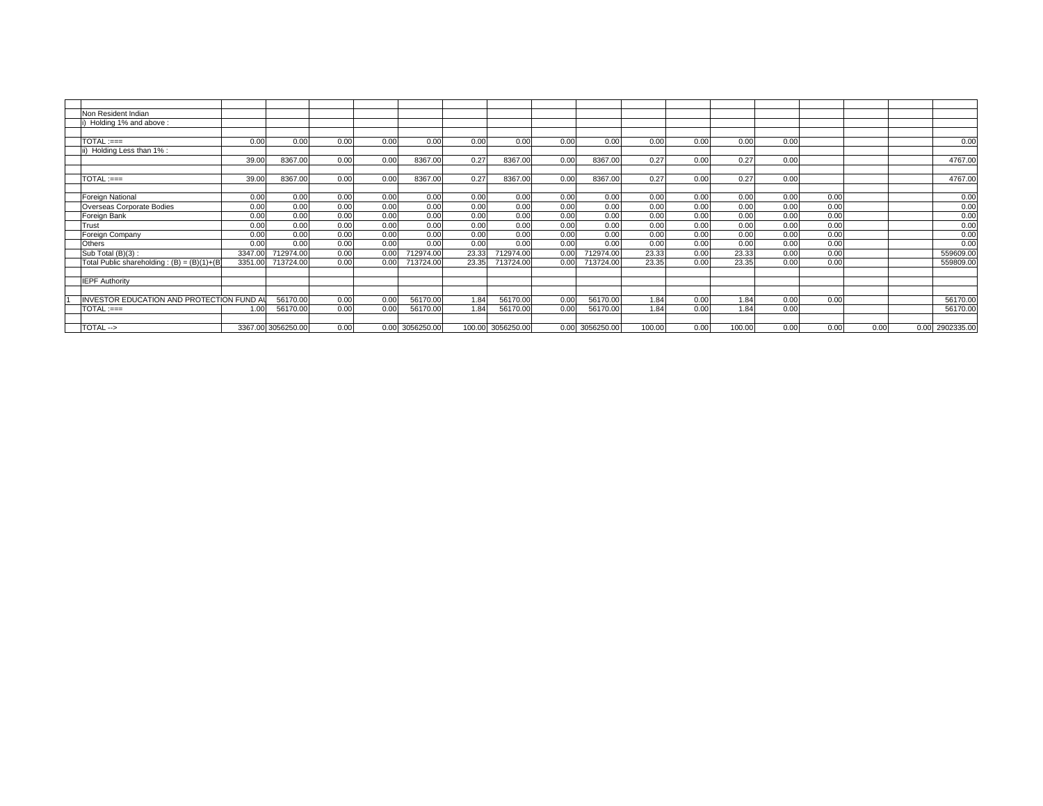| Non Resident Indian                           |         |                    |      |      |                 |       |                   |      |            |        |      |        |      |      |      |      |            |
|-----------------------------------------------|---------|--------------------|------|------|-----------------|-------|-------------------|------|------------|--------|------|--------|------|------|------|------|------------|
| Holding 1% and above:                         |         |                    |      |      |                 |       |                   |      |            |        |      |        |      |      |      |      |            |
|                                               |         |                    |      |      |                 |       |                   |      |            |        |      |        |      |      |      |      |            |
| $TOTAL := =$                                  | 0.00    | 0.00               | 0.00 | 0.00 | 0.00            | 0.00  | 0.00              | 0.00 | 0.00       | 0.00   | 0.00 | 0.00   | 0.00 |      |      |      | 0.00       |
| Holding Less than 1% :                        |         |                    |      |      |                 |       |                   |      |            |        |      |        |      |      |      |      |            |
|                                               | 39.00   | 8367.00            | 0.00 | 0.00 | 8367.00         | 0.27  | 8367.00           | 0.00 | 8367.00    | 0.27   | 0.00 | 0.27   | 0.00 |      |      |      | 4767.00    |
|                                               |         |                    |      |      |                 |       |                   |      |            |        |      |        |      |      |      |      |            |
| $\mathsf{TOTAL} := =$                         | 39.00   | 8367.00            | 0.00 | 0.00 | 8367.00         | 0.27  | 8367.00           | 0.00 | 8367.00    | 0.27   | 0.00 | 0.27   | 0.00 |      |      |      | 4767.00    |
|                                               |         |                    |      |      |                 |       |                   |      |            |        |      |        |      |      |      |      |            |
| Foreign National                              | 0.00    | 0.00               | 0.00 | 0.00 | 0.00            | 0.00  | 0.00              | 0.00 | 0.00       | 0.00   | 0.00 | 0.00   | 0.00 | 0.00 |      |      | 0.00       |
| Overseas Corporate Bodies                     | 0.00    | 0.00               | 0.00 | 0.00 | 0.00            | 0.00  | 0.00              | 0.00 | 0.00       | 0.00   | 0.00 | 0.00   | 0.00 | 0.00 |      |      | 0.00       |
| Foreign Bank                                  | 0.00    | 0.00               | 0.00 | 0.00 | 0.00            | 0.00  | 0.00              | 0.00 | 0.00       | 0.00   | 0.00 | 0.00   | 0.00 | 0.00 |      |      | 0.00       |
| Trust                                         | 0.00    | 0.00               | 0.00 | 0.00 | 0.00            | 0.00  | 0.00              | 0.00 | 0.00       | 0.00   | 0.00 | 0.00   | 0.00 | 0.00 |      |      | 0.00       |
| Foreign Company                               | 0.00    | 0.00               | 0.00 | 0.00 | 0.00            | 0.00  | 0.00              | 0.00 | 0.00       | 0.00   | 0.00 | 0.00   | 0.00 | 0.00 |      |      | 0.00       |
| Others                                        | 0.00    | 0.00               | 0.00 | 0.00 | 0.00            | 0.00  | 0.00              | 0.00 | 0.00       | 0.00   | 0.00 | 0.00   | 0.00 | 0.00 |      |      | 0.00       |
| Sub Total (B)(3):                             | 3347.00 | 712974.00          | 0.00 | 0.00 | 712974.00       | 23.33 | 712974.00         | 0.00 | 712974.00  | 23.33  | 0.00 | 23.33  | 0.00 | 0.00 |      |      | 559609.00  |
| Total Public shareholding: $(B) = (B)(1)+(B)$ | 3351.00 | 713724.00          | 0.00 | 0.00 | 713724.00       | 23.35 | 713724.00         | 0.00 | 713724.00  | 23.35  | 0.00 | 23.35  | 0.00 | 0.00 |      |      | 559809.00  |
|                                               |         |                    |      |      |                 |       |                   |      |            |        |      |        |      |      |      |      |            |
| <b>IEPF Authority</b>                         |         |                    |      |      |                 |       |                   |      |            |        |      |        |      |      |      |      |            |
|                                               |         |                    |      |      |                 |       |                   |      |            |        |      |        |      |      |      |      |            |
| INVESTOR EDUCATION AND PROTECTION FUND AI     |         | 56170.00           | 0.00 | 0.00 | 56170.00        | 1.84  | 56170.00          | 0.00 | 56170.00   | 1.84   | 0.00 | 1.84   | 0.00 | 0.00 |      |      | 56170.00   |
| $TOTAL := ==$                                 | 1.00    | 56170.00           | 0.00 | 0.00 | 56170.00        | 1.84  | 56170.00          | 0.00 | 56170.00   | 1.84   | 0.00 | 1.84   | 0.00 |      |      |      | 56170.00   |
|                                               |         |                    |      |      |                 |       |                   |      |            |        |      |        |      |      |      |      |            |
| <b>TOTAL --&gt;</b>                           |         | 3367.00 3056250.00 | 0.00 |      | 0.00 3056250.00 |       | 100.00 3056250.00 | 0.00 | 3056250.00 | 100.00 | 0.00 | 100.00 | 0.00 | 0.00 | 0.00 | 0.00 | 2902335.00 |
|                                               |         |                    |      |      |                 |       |                   |      |            |        |      |        |      |      |      |      |            |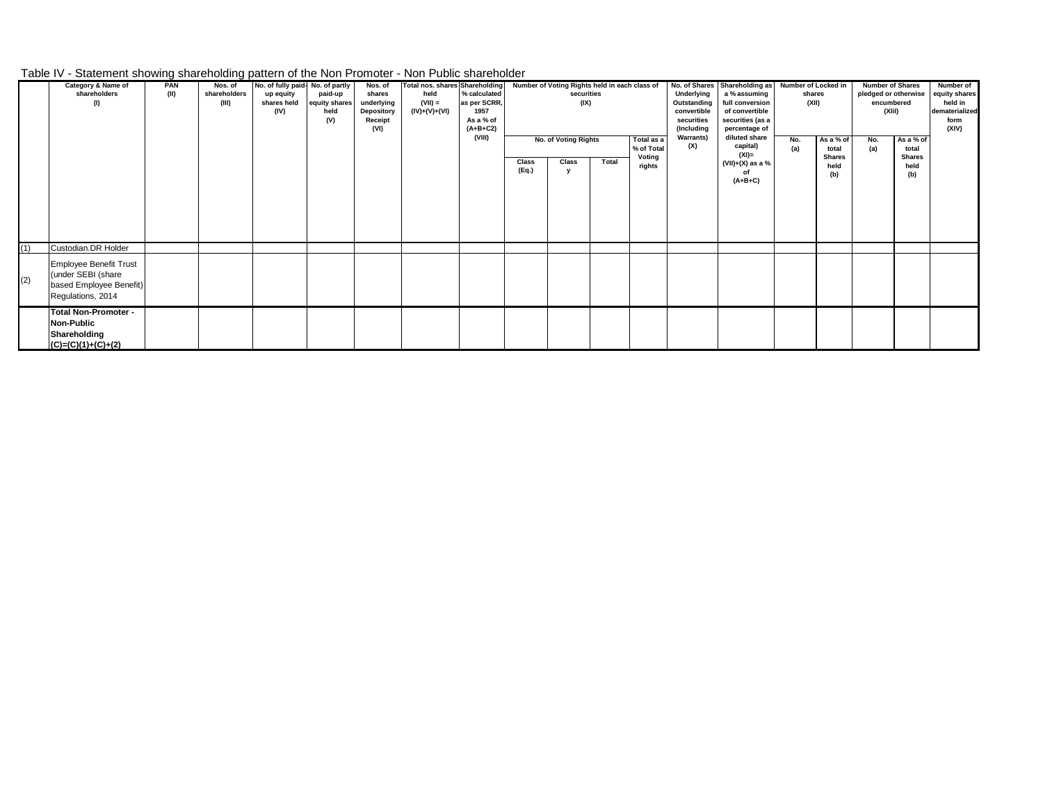## Table IV - Statement showing shareholding pattern of the Non Promoter - Non Public shareholder

|     | Category & Name of<br>shareholders<br>(1)                                                           | PAN<br>(II) | Nos. of<br>shareholders<br>(III) | No. of fully paid- No. of partly<br>up equity<br>shares held<br>(IV) | paid-up<br>equity shares<br>held<br>(V) | Nos. of<br>shares<br>underlying<br>Depository<br>Receipt<br>(VI) | <b>Total nos. shares Shareholding</b><br>held<br>$(VII) =$<br>$(IV)+(V)+(V)$ | % calculated<br>as per SCRR,<br>1957<br>As a % of<br>$(A+B+C2)$<br>(VIII) |                | Number of Voting Rights held in each class of<br>securities<br>(IX)<br>No. of Voting Rights |       | Total as a                     | Underlying<br>Outstanding<br>convertible<br>securities<br>(Including<br><b>Warrants)</b> | No. of Shares Shareholding as Number of Locked in<br>a % assuming<br>full conversion<br>of convertible<br>securities (as a<br>percentage of<br>diluted share | shares<br>(XII)<br>No. | As a % of                             | <b>Number of Shares</b><br>encumbered<br>(XIiI)<br>No. | As a % of                             | Number of<br>pledged or otherwise equity shares<br>held in<br>dematerialized<br>form<br>(XIV) |
|-----|-----------------------------------------------------------------------------------------------------|-------------|----------------------------------|----------------------------------------------------------------------|-----------------------------------------|------------------------------------------------------------------|------------------------------------------------------------------------------|---------------------------------------------------------------------------|----------------|---------------------------------------------------------------------------------------------|-------|--------------------------------|------------------------------------------------------------------------------------------|--------------------------------------------------------------------------------------------------------------------------------------------------------------|------------------------|---------------------------------------|--------------------------------------------------------|---------------------------------------|-----------------------------------------------------------------------------------------------|
|     |                                                                                                     |             |                                  |                                                                      |                                         |                                                                  |                                                                              |                                                                           | Class<br>(Eq.) | Class                                                                                       | Total | % of Total<br>Voting<br>rights | (X)                                                                                      | capital)<br>$(XI) =$<br>$(VII)+(X)$ as a %<br>$(A+B+C)$                                                                                                      | (a)                    | total<br><b>Shares</b><br>held<br>(b) | (a)                                                    | total<br><b>Shares</b><br>held<br>(b) |                                                                                               |
| (1) | Custodian.DR Holder                                                                                 |             |                                  |                                                                      |                                         |                                                                  |                                                                              |                                                                           |                |                                                                                             |       |                                |                                                                                          |                                                                                                                                                              |                        |                                       |                                                        |                                       |                                                                                               |
| (2) | <b>Employee Benefit Trust</b><br>(under SEBI (share<br>based Employee Benefit)<br>Regulations, 2014 |             |                                  |                                                                      |                                         |                                                                  |                                                                              |                                                                           |                |                                                                                             |       |                                |                                                                                          |                                                                                                                                                              |                        |                                       |                                                        |                                       |                                                                                               |
|     | <b>Total Non-Promoter -</b><br><b>Non-Public</b><br>Shareholding<br>$(C)=(C)(1)+(C)+(2)$            |             |                                  |                                                                      |                                         |                                                                  |                                                                              |                                                                           |                |                                                                                             |       |                                |                                                                                          |                                                                                                                                                              |                        |                                       |                                                        |                                       |                                                                                               |